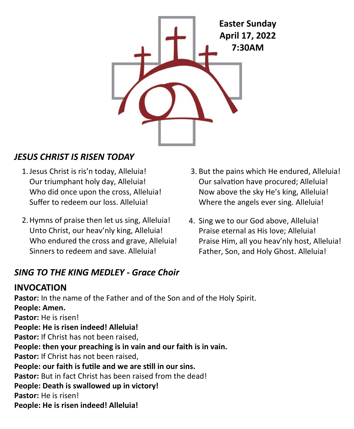

## *JESUS CHRIST IS RISEN TODAY*

- 1.Jesus Christ is ris'n today, Alleluia! Our triumphant holy day, Alleluia! Who did once upon the cross, Alleluia! Suffer to redeem our loss. Alleluia!
- 2.Hymns of praise then let us sing, Alleluia! Unto Christ, our heav'nly king, Alleluia! Who endured the cross and grave, Alleluia! Sinners to redeem and save. Alleluia!

# *SING TO THE KING MEDLEY - Grace Choir*

# **INVOCATION**

Pastor: In the name of the Father and of the Son and of the Holy Spirit. **People: Amen. Pastor:** He is risen! **People: He is risen indeed! Alleluia! Pastor:** If Christ has not been raised, **People: then your preaching is in vain and our faith is in vain. Pastor:** If Christ has not been raised, **People: our faith is futile and we are still in our sins. Pastor:** But in fact Christ has been raised from the dead! **People: Death is swallowed up in victory! Pastor:** He is risen! **People: He is risen indeed! Alleluia!**

- 3. But the pains which He endured, Alleluia! Our salvation have procured; Alleluia! Now above the sky He's king, Alleluia! Where the angels ever sing. Alleluia!
- 4. Sing we to our God above, Alleluia! Praise eternal as His love; Alleluia! Praise Him, all you heav'nly host, Alleluia! Father, Son, and Holy Ghost. Alleluia!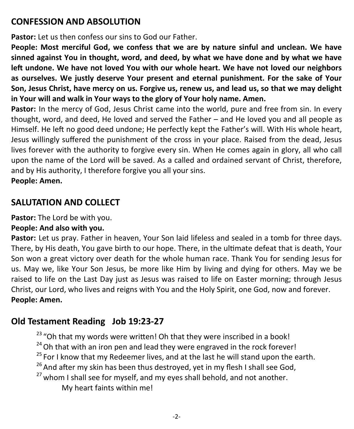## **CONFESSION AND ABSOLUTION**

**Pastor:** Let us then confess our sins to God our Father.

**People: Most merciful God, we confess that we are by nature sinful and unclean. We have sinned against You in thought, word, and deed, by what we have done and by what we have left undone. We have not loved You with our whole heart. We have not loved our neighbors as ourselves. We justly deserve Your present and eternal punishment. For the sake of Your Son, Jesus Christ, have mercy on us. Forgive us, renew us, and lead us, so that we may delight in Your will and walk in Your ways to the glory of Your holy name. Amen.**

Pastor: In the mercy of God, Jesus Christ came into the world, pure and free from sin. In every thought, word, and deed, He loved and served the Father – and He loved you and all people as Himself. He left no good deed undone; He perfectly kept the Father's will. With His whole heart, Jesus willingly suffered the punishment of the cross in your place. Raised from the dead, Jesus lives forever with the authority to forgive every sin. When He comes again in glory, all who call upon the name of the Lord will be saved. As a called and ordained servant of Christ, therefore, and by His authority, I therefore forgive you all your sins.

**People: Amen.**

# **SALUTATION AND COLLECT**

**Pastor:** The Lord be with you.

## **People: And also with you.**

**Pastor:** Let us pray. Father in heaven, Your Son laid lifeless and sealed in a tomb for three days. There, by His death, You gave birth to our hope. There, in the ultimate defeat that is death, Your Son won a great victory over death for the whole human race. Thank You for sending Jesus for us. May we, like Your Son Jesus, be more like Him by living and dying for others. May we be raised to life on the Last Day just as Jesus was raised to life on Easter morning; through Jesus Christ, our Lord, who lives and reigns with You and the Holy Spirit, one God, now and forever. **People: Amen.**

# **Old Testament Reading Job 19:23-27**

<sup>23</sup> "Oh that my words were written! Oh that they were inscribed in a book!

- $24$  Oh that with an iron pen and lead they were engraved in the rock forever!
- $25$  For I know that my Redeemer lives, and at the last he will stand upon the earth.
- $26$  And after my skin has been thus destroyed, yet in my flesh I shall see God,
- $27$  whom I shall see for myself, and my eyes shall behold, and not another.

My heart faints within me!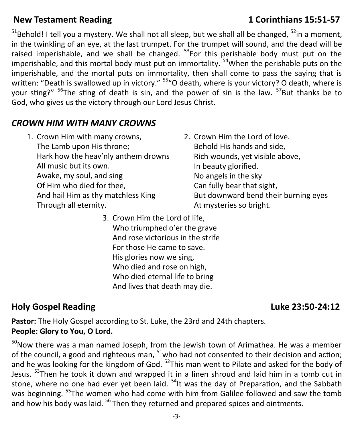$51$ Behold! I tell you a mystery. We shall not all sleep, but we shall all be changed,  $52$ in a moment, in the twinkling of an eye, at the last trumpet. For the trumpet will sound, and the dead will be raised imperishable, and we shall be changed.  $53$  For this perishable body must put on the imperishable, and this mortal body must put on immortality. <sup>54</sup>When the perishable puts on the imperishable, and the mortal puts on immortality, then shall come to pass the saying that is written: "Death is swallowed up in victory." <sup>55</sup> "O death, where is your victory? O death, where is your sting?"  $56$ The sting of death is sin, and the power of sin is the law.  $57$ But thanks be to God, who gives us the victory through our Lord Jesus Christ.

# *CROWN HIM WITH MANY CROWNS*

- 1. Crown Him with many crowns, The Lamb upon His throne; Hark how the heav'nly anthem drowns All music but its own. Awake, my soul, and sing Of Him who died for thee, And hail Him as thy matchless King Through all eternity.
	- 3. Crown Him the Lord of life, Who triumphed o'er the grave And rose victorious in the strife For those He came to save. His glories now we sing, Who died and rose on high, Who died eternal life to bring And lives that death may die.

# **Holy Gospel Reading Luke 23:50-24:12**

**Pastor:** The Holy Gospel according to St. Luke, the 23rd and 24th chapters. **People: Glory to You, O Lord.**

<sup>50</sup>Now there was a man named Joseph, from the Jewish town of Arimathea. He was a member of the council, a good and righteous man,  $51$  who had not consented to their decision and action; and he was looking for the kingdom of God.  $52$ This man went to Pilate and asked for the body of Jesus. <sup>53</sup>Then he took it down and wrapped it in a linen shroud and laid him in a tomb cut in stone, where no one had ever yet been laid.  $54$ It was the day of Preparation, and the Sabbath was beginning. <sup>55</sup>The women who had come with him from Galilee followed and saw the tomb and how his body was laid. <sup>56</sup> Then they returned and prepared spices and ointments.

# **New Testament Reading 1 Corinthians 15:51-57**

## Behold His hands and side, Rich wounds, yet visible above, In beauty glorified. No angels in the sky Can fully bear that sight, But downward bend their burning eyes At mysteries so bright.

2. Crown Him the Lord of love.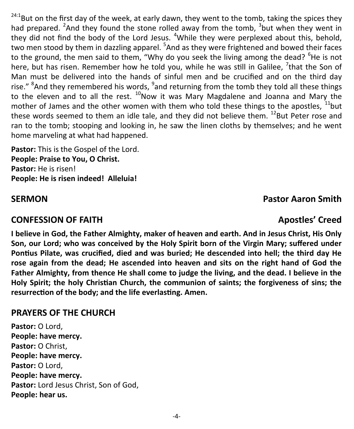$24:1$ But on the first day of the week, at early dawn, they went to the tomb, taking the spices they had prepared. <sup>2</sup>And they found the stone rolled away from the tomb, <sup>3</sup>but when they went in they did not find the body of the Lord Jesus.  $4$ While they were perplexed about this, behold, two men stood by them in dazzling apparel. <sup>5</sup>And as they were frightened and bowed their faces to the ground, the men said to them, "Why do you seek the living among the dead? <sup>6</sup>He is not here, but has risen. Remember how he told you, while he was still in Galilee, <sup>7</sup>that the Son of Man must be delivered into the hands of sinful men and be crucified and on the third day rise." <sup>8</sup>And they remembered his words, <sup>9</sup>and returning from the tomb they told all these things to the eleven and to all the rest.  $^{10}$ Now it was Mary Magdalene and Joanna and Mary the mother of James and the other women with them who told these things to the apostles,  $^{11}$ but these words seemed to them an idle tale, and they did not believe them.  $^{12}$ But Peter rose and ran to the tomb; stooping and looking in, he saw the linen cloths by themselves; and he went home marveling at what had happened.

**Pastor:** This is the Gospel of the Lord. **People: Praise to You, O Christ. Pastor:** He is risen! **People: He is risen indeed! Alleluia!**

# **SERMON Pastor Aaron Smith**

## **CONFESSION OF FAITH Apostles' Creed**

**I believe in God, the Father Almighty, maker of heaven and earth. And in Jesus Christ, His Only Son, our Lord; who was conceived by the Holy Spirit born of the Virgin Mary; suffered under Pontius Pilate, was crucified, died and was buried; He descended into hell; the third day He rose again from the dead; He ascended into heaven and sits on the right hand of God the Father Almighty, from thence He shall come to judge the living, and the dead. I believe in the Holy Spirit; the holy Christian Church, the communion of saints; the forgiveness of sins; the resurrection of the body; and the life everlasting. Amen.**

## **PRAYERS OF THE CHURCH**

**Pastor:** O Lord, **People: have mercy.** Pastor: O Christ, **People: have mercy.** Pastor: O Lord, **People: have mercy. Pastor:** Lord Jesus Christ, Son of God, **People: hear us.**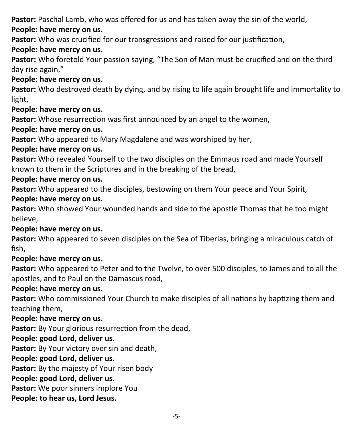**Pastor:** Paschal Lamb, who was offered for us and has taken away the sin of the world,

## **People: have mercy on us.**

**Pastor:** Who was crucified for our transgressions and raised for our justification,

## **People: have mercy on us.**

**Pastor:** Who foretold Your passion saying, "The Son of Man must be crucified and on the third day rise again,"

### **People: have mercy on us.**

**Pastor:** Who destroyed death by dying, and by rising to life again brought life and immortality to light,

### **People: have mercy on us.**

Pastor: Whose resurrection was first announced by an angel to the women,

### **People: have mercy on us.**

**Pastor:** Who appeared to Mary Magdalene and was worshiped by her,

### **People: have mercy on us.**

**Pastor:** Who revealed Yourself to the two disciples on the Emmaus road and made Yourself known to them in the Scriptures and in the breaking of the bread,

### **People: have mercy on us.**

**Pastor:** Who appeared to the disciples, bestowing on them Your peace and Your Spirit,

## **People: have mercy on us.**

**Pastor:** Who showed Your wounded hands and side to the apostle Thomas that he too might believe,

#### **People: have mercy on us.**

**Pastor:** Who appeared to seven disciples on the Sea of Tiberias, bringing a miraculous catch of fish,

#### **People: have mercy on us.**

**Pastor:** Who appeared to Peter and to the Twelve, to over 500 disciples, to James and to all the apostles, and to Paul on the Damascus road,

## **People: have mercy on us.**

Pastor: Who commissioned Your Church to make disciples of all nations by baptizing them and teaching them,

#### **People: have mercy on us.**

Pastor: By Your glorious resurrection from the dead,

## **People: good Lord, deliver us.**

**Pastor:** By Your victory over sin and death,

### **People: good Lord, deliver us.**

Pastor: By the majesty of Your risen body

#### **People: good Lord, deliver us.**

**Pastor:** We poor sinners implore You

## **People: to hear us, Lord Jesus.**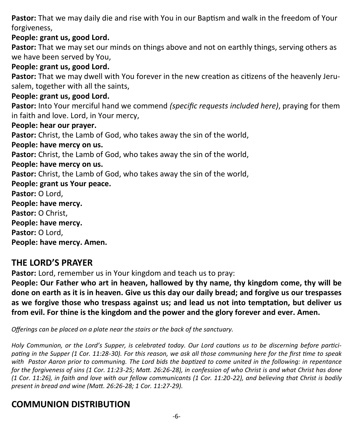**Pastor:** That we may daily die and rise with You in our Baptism and walk in the freedom of Your forgiveness,

#### **People: grant us, good Lord.**

Pastor: That we may set our minds on things above and not on earthly things, serving others as we have been served by You,

## **People: grant us, good Lord.**

Pastor: That we may dwell with You forever in the new creation as citizens of the heavenly Jerusalem, together with all the saints,

#### **People: grant us, good Lord.**

**Pastor:** Into Your merciful hand we commend *(specific requests included here)*, praying for them in faith and love. Lord, in Your mercy,

#### **People: hear our prayer.**

Pastor: Christ, the Lamb of God, who takes away the sin of the world,

#### **People: have mercy on us.**

Pastor: Christ, the Lamb of God, who takes away the sin of the world,

#### **People: have mercy on us.**

Pastor: Christ, the Lamb of God, who takes away the sin of the world,

**People: grant us Your peace.**

**Pastor:** O Lord,

**People: have mercy.**

Pastor: O Christ,

**People: have mercy.**

Pastor: O Lord,

**People: have mercy. Amen.**

## **THE LORD'S PRAYER**

**Pastor:** Lord, remember us in Your kingdom and teach us to pray:

**People: Our Father who art in heaven, hallowed by thy name, thy kingdom come, thy will be done on earth as it is in heaven. Give us this day our daily bread; and forgive us our trespasses as we forgive those who trespass against us; and lead us not into temptation, but deliver us from evil. For thine is the kingdom and the power and the glory forever and ever. Amen.**

*Offerings can be placed on a plate near the stairs or the back of the sanctuary.*

*Holy Communion, or the Lord's Supper, is celebrated today. Our Lord cautions us to be discerning before participating in the Supper (1 Cor. 11:28-30). For this reason, we ask all those communing here for the first time to speak with Pastor Aaron prior to communing. The Lord bids the baptized to come united in the following: in repentance for the forgiveness of sins (1 Cor. 11:23-25; Matt. 26:26-28), in confession of who Christ is and what Christ has done (1 Cor. 11:26), in faith and love with our fellow communicants (1 Cor. 11:20-22), and believing that Christ is bodily present in bread and wine (Matt. 26:26-28; 1 Cor. 11:27-29).*

# **COMMUNION DISTRIBUTION**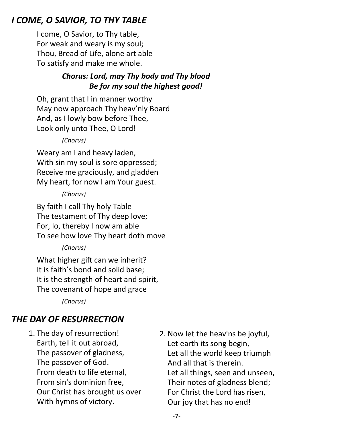## *I COME, O SAVIOR, TO THY TABLE*

I come, O Savior, to Thy table, For weak and weary is my soul; Thou, Bread of Life, alone art able To satisfy and make me whole.

## *Chorus: Lord, may Thy body and Thy blood Be for my soul the highest good!*

Oh, grant that I in manner worthy May now approach Thy heav'nly Board And, as I lowly bow before Thee, Look only unto Thee, O Lord!

#### *(Chorus)*

Weary am I and heavy laden, With sin my soul is sore oppressed; Receive me graciously, and gladden My heart, for now I am Your guest.

#### *(Chorus)*

By faith I call Thy holy Table The testament of Thy deep love; For, lo, thereby I now am able To see how love Thy heart doth move

## *(Chorus)*

What higher gift can we inherit? It is faith's bond and solid base; It is the strength of heart and spirit, The covenant of hope and grace

*(Chorus)*

# *THE DAY OF RESURRECTION*

- 1. The day of resurrection! Earth, tell it out abroad, The passover of gladness, The passover of God. From death to life eternal, From sin's dominion free, Our Christ has brought us over With hymns of victory.
- 2. Now let the heav'ns be joyful, Let earth its song begin, Let all the world keep triumph And all that is therein. Let all things, seen and unseen, Their notes of gladness blend; For Christ the Lord has risen, Our joy that has no end!